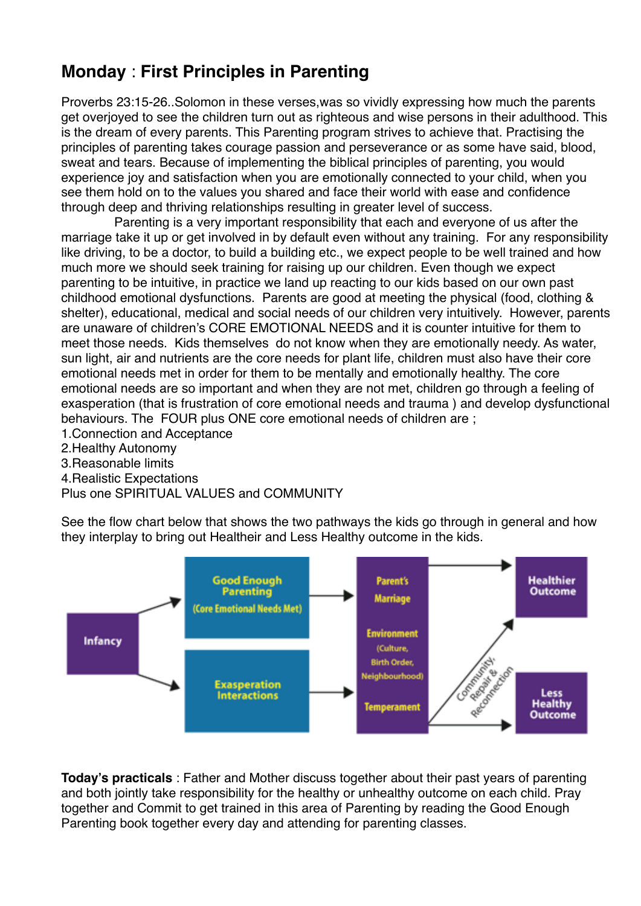## **Monday** : **First Principles in Parenting**

Proverbs 23:15-26..Solomon in these verses,was so vividly expressing how much the parents get overjoyed to see the children turn out as righteous and wise persons in their adulthood. This is the dream of every parents. This Parenting program strives to achieve that. Practising the principles of parenting takes courage passion and perseverance or as some have said, blood, sweat and tears. Because of implementing the biblical principles of parenting, you would experience joy and satisfaction when you are emotionally connected to your child, when you see them hold on to the values you shared and face their world with ease and confidence through deep and thriving relationships resulting in greater level of success.

 Parenting is a very important responsibility that each and everyone of us after the marriage take it up or get involved in by default even without any training. For any responsibility like driving, to be a doctor, to build a building etc., we expect people to be well trained and how much more we should seek training for raising up our children. Even though we expect parenting to be intuitive, in practice we land up reacting to our kids based on our own past childhood emotional dysfunctions. Parents are good at meeting the physical (food, clothing & shelter), educational, medical and social needs of our children very intuitively. However, parents are unaware of children's CORE EMOTIONAL NEEDS and it is counter intuitive for them to meet those needs. Kids themselves do not know when they are emotionally needy. As water, sun light, air and nutrients are the core needs for plant life, children must also have their core emotional needs met in order for them to be mentally and emotionally healthy. The core emotional needs are so important and when they are not met, children go through a feeling of exasperation (that is frustration of core emotional needs and trauma ) and develop dysfunctional behaviours. The FOUR plus ONE core emotional needs of children are ;

- 1.Connection and Acceptance
- 2.Healthy Autonomy
- 3.Reasonable limits
- 4.Realistic Expectations
- Plus one SPIRITUAL VALUES and COMMUNITY

See the flow chart below that shows the two pathways the kids go through in general and how they interplay to bring out Healtheir and Less Healthy outcome in the kids.



**Today's practicals** : Father and Mother discuss together about their past years of parenting and both jointly take responsibility for the healthy or unhealthy outcome on each child. Pray together and Commit to get trained in this area of Parenting by reading the Good Enough Parenting book together every day and attending for parenting classes.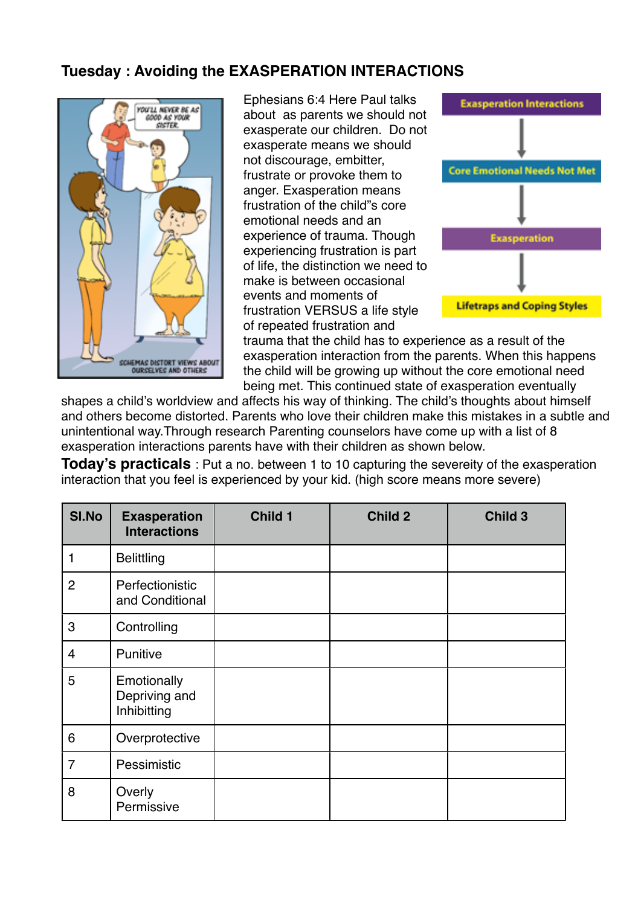#### **Tuesday : Avoiding the EXASPERATION INTERACTIONS**



Ephesians 6:4 Here Paul talks about as parents we should not exasperate our children. Do not exasperate means we should not discourage, embitter, frustrate or provoke them to anger. Exasperation means frustration of the child"s core emotional needs and an experience of trauma. Though experiencing frustration is part of life, the distinction we need to make is between occasional events and moments of frustration VERSUS a life style of repeated frustration and



trauma that the child has to experience as a result of the exasperation interaction from the parents. When this happens the child will be growing up without the core emotional need being met. This continued state of exasperation eventually

shapes a child's worldview and affects his way of thinking. The child's thoughts about himself and others become distorted. Parents who love their children make this mistakes in a subtle and unintentional way.Through research Parenting counselors have come up with a list of 8 exasperation interactions parents have with their children as shown below.

**Today's practicals** : Put a no. between 1 to 10 capturing the severeity of the exasperation interaction that you feel is experienced by your kid. (high score means more severe)

| SI.No          | <b>Exasperation</b><br><b>Interactions</b>  | Child 1 | Child 2 | Child 3 |
|----------------|---------------------------------------------|---------|---------|---------|
| 1              | <b>Belittling</b>                           |         |         |         |
| 2              | Perfectionistic<br>and Conditional          |         |         |         |
| 3              | Controlling                                 |         |         |         |
| $\overline{4}$ | Punitive                                    |         |         |         |
| 5              | Emotionally<br>Depriving and<br>Inhibitting |         |         |         |
| 6              | Overprotective                              |         |         |         |
| $\overline{7}$ | Pessimistic                                 |         |         |         |
| 8              | Overly<br>Permissive                        |         |         |         |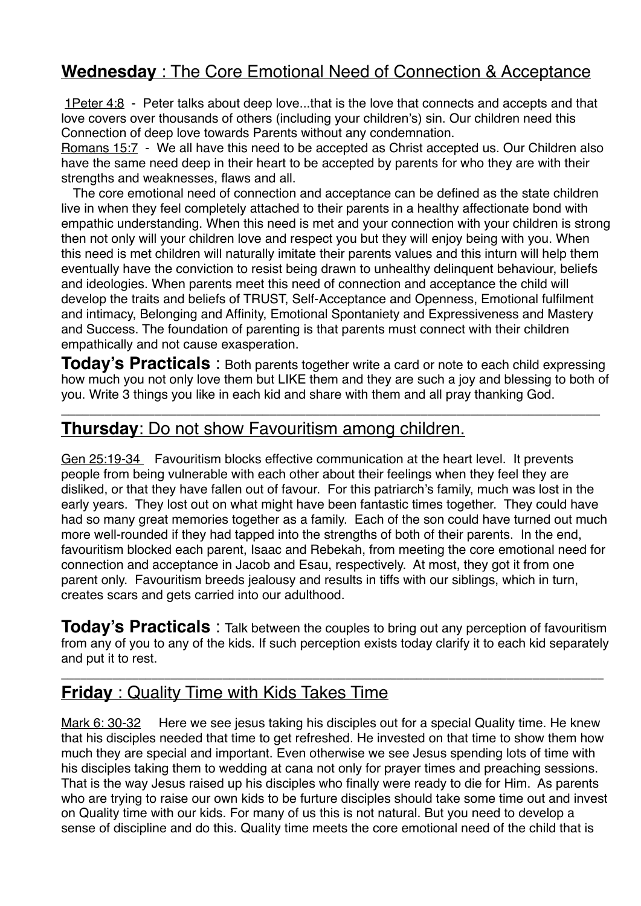# **Wednesday** : The Core Emotional Need of Connection & Acceptance

1Peter 4:8 - Peter talks about deep love...that is the love that connects and accepts and that love covers over thousands of others (including your children's) sin. Our children need this Connection of deep love towards Parents without any condemnation.

Romans 15:7 - We all have this need to be accepted as Christ accepted us. Our Children also have the same need deep in their heart to be accepted by parents for who they are with their strengths and weaknesses, flaws and all.

The core emotional need of connection and acceptance can be defined as the state children live in when they feel completely attached to their parents in a healthy affectionate bond with empathic understanding. When this need is met and your connection with your children is strong then not only will your children love and respect you but they will enjoy being with you. When this need is met children will naturally imitate their parents values and this inturn will help them eventually have the conviction to resist being drawn to unhealthy delinquent behaviour, beliefs and ideologies. When parents meet this need of connection and acceptance the child will develop the traits and beliefs of TRUST, Self-Acceptance and Openness, Emotional fulfilment and intimacy, Belonging and Affinity, Emotional Spontaniety and Expressiveness and Mastery and Success. The foundation of parenting is that parents must connect with their children empathically and not cause exasperation.

**Today's Practicals** : Both parents together write a card or note to each child expressing how much you not only love them but LIKE them and they are such a joy and blessing to both of you. Write 3 things you like in each kid and share with them and all pray thanking God.

\_\_\_\_\_\_\_\_\_\_\_\_\_\_\_\_\_\_\_\_\_\_\_\_\_\_\_\_\_\_\_\_\_\_\_\_\_\_\_\_\_\_\_\_\_\_\_\_\_\_\_\_\_\_\_\_\_\_\_\_\_\_\_\_\_\_\_\_\_\_\_\_\_\_\_

### **Thursday**: Do not show Favouritism among children.

Gen 25:19-34 Favouritism blocks effective communication at the heart level. It prevents people from being vulnerable with each other about their feelings when they feel they are disliked, or that they have fallen out of favour. For this patriarch's family, much was lost in the early years. They lost out on what might have been fantastic times together. They could have had so many great memories together as a family. Each of the son could have turned out much more well-rounded if they had tapped into the strengths of both of their parents. In the end, favouritism blocked each parent, Isaac and Rebekah, from meeting the core emotional need for connection and acceptance in Jacob and Esau, respectively. At most, they got it from one parent only. Favouritism breeds jealousy and results in tiffs with our siblings, which in turn, creates scars and gets carried into our adulthood.

**Today's Practicals** : Talk between the couples to bring out any perception of favouritism from any of you to any of the kids. If such perception exists today clarify it to each kid separately and put it to rest.

\_\_\_\_\_\_\_\_\_\_\_\_\_\_\_\_\_\_\_\_\_\_\_\_\_\_\_\_\_\_\_\_\_\_\_\_\_\_\_\_\_\_\_\_\_\_\_\_\_\_\_\_\_\_\_\_\_\_\_\_\_\_\_\_\_\_\_\_\_\_\_\_\_\_\_\_\_\_\_\_\_\_\_\_

### **Friday** : Quality Time with Kids Takes Time

Mark 6: 30-32 Here we see jesus taking his disciples out for a special Quality time. He knew that his disciples needed that time to get refreshed. He invested on that time to show them how much they are special and important. Even otherwise we see Jesus spending lots of time with his disciples taking them to wedding at cana not only for prayer times and preaching sessions. That is the way Jesus raised up his disciples who finally were ready to die for Him. As parents who are trying to raise our own kids to be furture disciples should take some time out and invest on Quality time with our kids. For many of us this is not natural. But you need to develop a sense of discipline and do this. Quality time meets the core emotional need of the child that is